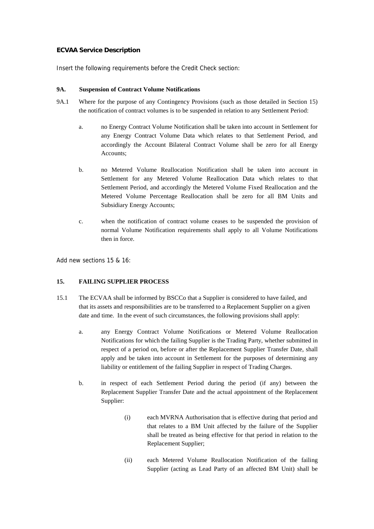## **ECVAA Service Description**

Insert the following requirements before the Credit Check section:

## **9A. Suspension of Contract Volume Notifications**

- 9A.1 Where for the purpose of any Contingency Provisions (such as those detailed in Section 15) the notification of contract volumes is to be suspended in relation to any Settlement Period:
	- a. no Energy Contract Volume Notification shall be taken into account in Settlement for any Energy Contract Volume Data which relates to that Settlement Period, and accordingly the Account Bilateral Contract Volume shall be zero for all Energy Accounts;
	- b. no Metered Volume Reallocation Notification shall be taken into account in Settlement for any Metered Volume Reallocation Data which relates to that Settlement Period, and accordingly the Metered Volume Fixed Reallocation and the Metered Volume Percentage Reallocation shall be zero for all BM Units and Subsidiary Energy Accounts;
	- c. when the notification of contract volume ceases to be suspended the provision of normal Volume Notification requirements shall apply to all Volume Notifications then in force.

Add new sections 15 & 16:

## **15. FAILING SUPPLIER PROCESS**

- 15.1 The ECVAA shall be informed by BSCCo that a Supplier is considered to have failed, and that its assets and responsibilities are to be transferred to a Replacement Supplier on a given date and time. In the event of such circumstances, the following provisions shall apply:
	- a. any Energy Contract Volume Notifications or Metered Volume Reallocation Notifications for which the failing Supplier is the Trading Party, whether submitted in respect of a period on, before or after the Replacement Supplier Transfer Date, shall apply and be taken into account in Settlement for the purposes of determining any liability or entitlement of the failing Supplier in respect of Trading Charges.
	- b. in respect of each Settlement Period during the period (if any) between the Replacement Supplier Transfer Date and the actual appointment of the Replacement Supplier:
		- (i) each MVRNA Authorisation that is effective during that period and that relates to a BM Unit affected by the failure of the Supplier shall be treated as being effective for that period in relation to the Replacement Supplier;
		- (ii) each Metered Volume Reallocation Notification of the failing Supplier (acting as Lead Party of an affected BM Unit) shall be